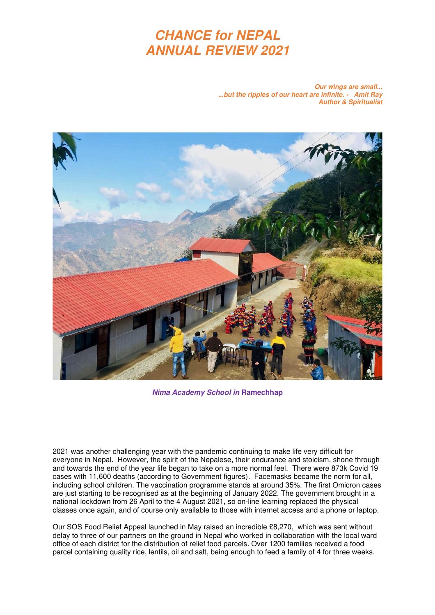# **CHANCE for NEPAL ANNUAL REVIEW 2021**

**Our wings are small... ...but the ripples of our heart are infinite. - Amit Ray Author & Spiritualist** 



**Nima Academy School in Ramechhap**

2021 was another challenging year with the pandemic continuing to make life very difficult for everyone in Nepal. However, the spirit of the Nepalese, their endurance and stoicism, shone through and towards the end of the year life began to take on a more normal feel. There were 873k Covid 19 cases with 11,600 deaths (according to Government figures). Facemasks became the norm for all, including school children. The vaccination programme stands at around 35%. The first Omicron cases are just starting to be recognised as at the beginning of January 2022. The government brought in a national lockdown from 26 April to the 4 August 2021, so on-line learning replaced the physical classes once again, and of course only available to those with internet access and a phone or laptop.

Our SOS Food Relief Appeal launched in May raised an incredible £8,270, which was sent without delay to three of our partners on the ground in Nepal who worked in collaboration with the local ward office of each district for the distribution of relief food parcels. Over 1200 families received a food parcel containing quality rice, lentils, oil and salt, being enough to feed a family of 4 for three weeks.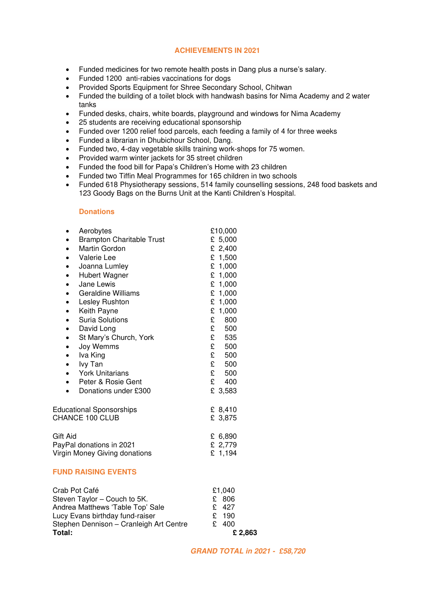#### **ACHIEVEMENTS IN 2021**

- Funded medicines for two remote health posts in Dang plus a nurse's salary.
- Funded 1200 anti-rabies vaccinations for dogs
- Provided Sports Equipment for Shree Secondary School, Chitwan
- Funded the building of a toilet block with handwash basins for Nima Academy and 2 water tanks
- Funded desks, chairs, white boards, playground and windows for Nima Academy
- 25 students are receiving educational sponsorship
- Funded over 1200 relief food parcels, each feeding a family of 4 for three weeks
- Funded a librarian in Dhubichour School, Dang.
- Funded two, 4-day vegetable skills training work-shops for 75 women.
- Provided warm winter jackets for 35 street children
- Funded the food bill for Papa's Children's Home with 23 children
- Funded two Tiffin Meal Programmes for 165 children in two schools
- Funded 618 Physiotherapy sessions, 514 family counselling sessions, 248 food baskets and 123 Goody Bags on the Burns Unit at the Kanti Children's Hospital.

#### **Donations**

| $\bullet$                       | Aerobytes                        | £10,000   |
|---------------------------------|----------------------------------|-----------|
| ٠                               | <b>Brampton Charitable Trust</b> | £ 5,000   |
| $\bullet$                       | Martin Gordon                    | £ 2,400   |
| $\bullet$                       | Valerie Lee                      | £ 1,500   |
| $\bullet$                       | Joanna Lumley                    | £ $1,000$ |
| $\bullet$                       | Hubert Wagner                    | £ 1,000   |
| $\bullet$                       | Jane Lewis                       | £ 1,000   |
| $\bullet$                       | <b>Geraldine Williams</b>        | £ 1,000   |
| $\bullet$                       | Lesley Rushton                   | £ $1,000$ |
| $\bullet$                       | Keith Payne                      | £ 1,000   |
| $\bullet$                       | <b>Suria Solutions</b>           | £<br>800  |
| $\bullet$                       | David Long                       | £<br>500  |
|                                 | St Mary's Church, York           | £<br>535  |
| $\bullet$                       | Joy Wemms                        | £<br>500  |
| $\bullet$                       | Iva King                         | £<br>500  |
| $\bullet$                       | lvy Tan                          | £<br>500  |
| $\bullet$                       | <b>York Unitarians</b>           | £<br>500  |
| $\bullet$                       | Peter & Rosie Gent               | £<br>400  |
|                                 | Donations under £300             | £ 3,583   |
| <b>Educational Sponsorships</b> |                                  | £ 8,410   |
| CHANCE 100 CLUB                 |                                  | £ 3,875   |
| Gift Aid                        |                                  | £ 6,890   |
| PayPal donations in 2021        |                                  | £ 2,779   |
| Virgin Money Giving donations   |                                  | £ 1,194   |

#### **FUND RAISING EVENTS**

| Total:                                  | £ 2,863 |  |
|-----------------------------------------|---------|--|
| Stephen Dennison - Cranleigh Art Centre | £ 400   |  |
| Lucy Evans birthday fund-raiser         | £ 190   |  |
| Andrea Matthews 'Table Top' Sale        | $£$ 427 |  |
| Steven Taylor - Couch to 5K.            | £ 806   |  |
| Crab Pot Café                           | £1.040  |  |
|                                         |         |  |

 **GRAND TOTAL in 2021 - £58,720**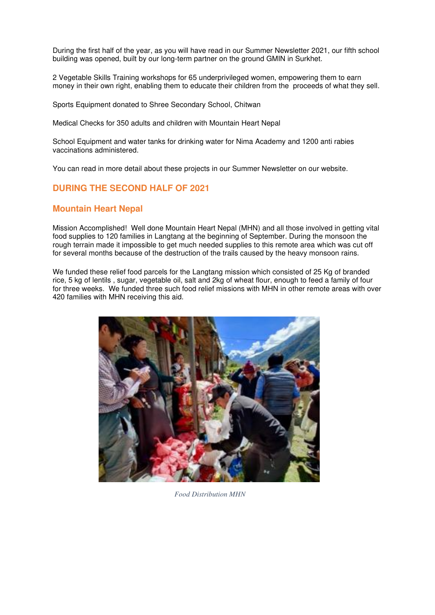During the first half of the year, as you will have read in our Summer Newsletter 2021, our fifth school building was opened, built by our long-term partner on the ground GMIN in Surkhet.

2 Vegetable Skills Training workshops for 65 underprivileged women, empowering them to earn money in their own right, enabling them to educate their children from the proceeds of what they sell.

Sports Equipment donated to Shree Secondary School, Chitwan

Medical Checks for 350 adults and children with Mountain Heart Nepal

School Equipment and water tanks for drinking water for Nima Academy and 1200 anti rabies vaccinations administered.

You can read in more detail about these projects in our Summer Newsletter on our website.

# **DURING THE SECOND HALF OF 2021**

### **Mountain Heart Nepal**

Mission Accomplished! Well done Mountain Heart Nepal (MHN) and all those involved in getting vital food supplies to 120 families in Langtang at the beginning of September. During the monsoon the rough terrain made it impossible to get much needed supplies to this remote area which was cut off for several months because of the destruction of the trails caused by the heavy monsoon rains.

We funded these relief food parcels for the Langtang mission which consisted of 25 Kg of branded rice, 5 kg of lentils , sugar, vegetable oil, salt and 2kg of wheat flour, enough to feed a family of four for three weeks. We funded three such food relief missions with MHN in other remote areas with over 420 families with MHN receiving this aid.



*Food Distribution MHN*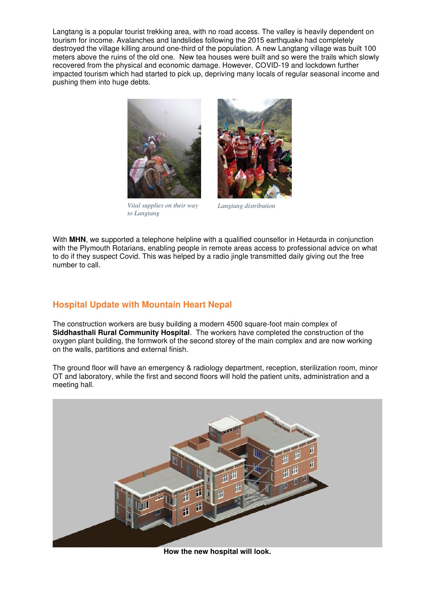Langtang is a popular tourist trekking area, with no road access. The valley is heavily dependent on tourism for income. Avalanches and landslides following the 2015 earthquake had completely destroyed the village killing around one-third of the population. A new Langtang village was built 100 meters above the ruins of the old one. New tea houses were built and so were the trails which slowly recovered from the physical and economic damage. However, COVID-19 and lockdown further impacted tourism which had started to pick up, depriving many locals of regular seasonal income and pushing them into huge debts.



*Vital supplies on their way to Langtang* 



*Langtang distribution* 

With **MHN**, we supported a telephone helpline with a qualified counsellor in Hetaurda in conjunction with the Plymouth Rotarians, enabling people in remote areas access to professional advice on what to do if they suspect Covid. This was helped by a radio jingle transmitted daily giving out the free number to call.

# **Hospital Update with Mountain Heart Nepal**

The construction workers are busy building a modern 4500 square-foot main complex of **Siddhasthali Rural Community Hospital**. The workers have completed the construction of the oxygen plant building, the formwork of the second storey of the main complex and are now working on the walls, partitions and external finish.

The ground floor will have an emergency & radiology department, reception, sterilization room, minor OT and laboratory, while the first and second floors will hold the patient units, administration and a meeting hall.



**How the new hospital will look.**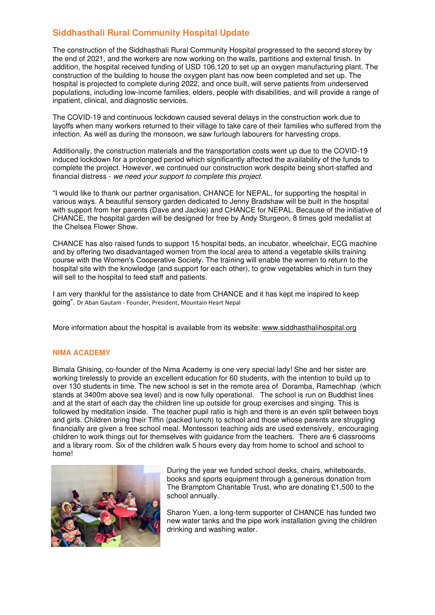# **Siddhasthali Rural Community Hospital Update**

The construction of the Siddhasthali Rural Community Hospital progressed to the second storey by the end of 2021, and the workers are now working on the walls, partitions and external finish. In addition, the hospital received funding of USD 106,120 to set up an oxygen manufacturing plant. The construction of the building to house the oxygen plant has now been completed and set up. The hospital is projected to complete during 2022, and once built, will serve patients from underserved populations, including low-income families, elders, people with disabilities, and will provide a range of inpatient, clinical, and diagnostic services.

The COVID-19 and continuous lockdown caused several delays in the construction work due to layoffs when many workers returned to their village to take care of their families who suffered from the infection. As well as during the monsoon, we saw furlough labourers for harvesting crops.

Additionally, the construction materials and the transportation costs went up due to the COVID-19 induced lockdown for a prolonged period which significantly affected the availability of the funds to complete the project. However, we continued our construction work despite being short-staffed and financial distress - we need your support to complete this project.

"I would like to thank our partner organisation, CHANCE for NEPAL, for supporting the hospital in various ways. A beautiful sensory garden dedicated to Jenny Bradshaw will be built in the hospital with support from her parents (Dave and Jackie) and CHANCE for NEPAL. Because of the initiative of CHANCE, the hospital garden will be designed for free by Andy Sturgeon, 8 times gold medallist at the Chelsea Flower Show.

CHANCE has also raised funds to support 15 hospital beds, an incubator, wheelchair, ECG machine and by offering two disadvantaged women from the local area to attend a vegetable skills training course with the Women's Cooperative Society. The training will enable the women to return to the hospital site with the knowledge (and support for each other), to grow vegetables which in turn they will sell to the hospital to feed staff and patients.

I am very thankful for the assistance to date from CHANCE and it has kept me inspired to keep going". Dr Aban Gautam - Founder, President, Mountain Heart Nepal

More information about the hospital is available from its website: [www.siddhasthalihospital.org](http://www.siddhasthalihospital.org/) 

#### **NIMA ACADEMY**

Bimala Ghising, co-founder of the Nima Academy is one very special lady! She and her sister are working tirelessly to provide an excellent education for 60 students, with the intention to build up to over 130 students in time. The new school is set in the remote area of Doramba, Ramechhap (which stands at 3400m above sea level) and is now fully operational. The school is run on Buddhist lines and at the start of each day the children line up outside for group exercises and singing. This is followed by meditation inside. The teacher pupil ratio is high and there is an even split between boys and girls. Children bring their Tiffin (packed lunch) to school and those whose parents are struggling financially are given a free school meal. Montessori teaching aids are used extensively, encouraging children to work things out for themselves with guidance from the teachers. There are 6 classrooms and a library room. Six of the children walk 5 hours every day from home to school and school to home!



During the year we funded school desks, chairs, whiteboards, books and sports equipment through a generous donation from The Bramptom Charitable Trust, who are donating £1,500 to the school annually.

Sharon Yuen, a long-term supporter of CHANCE has funded two new water tanks and the pipe work installation giving the children drinking and washing water.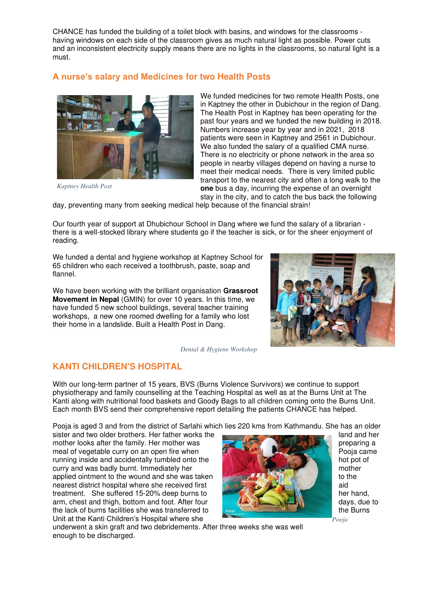CHANCE has funded the building of a toilet block with basins, and windows for the classrooms having windows on each side of the classroom gives as much natural light as possible. Power cuts and an inconsistent electricity supply means there are no lights in the classrooms, so natural light is a must.

# **A nurse's salary and Medicines for two Health Posts**



We funded medicines for two remote Health Posts, one in Kaptney the other in Dubichour in the region of Dang. The Health Post in Kaptney has been operating for the past four years and we funded the new building in 2018. Numbers increase year by year and in 2021, 2018 patients were seen in Kaptney and 2561 in Dubichour. We also funded the salary of a qualified CMA nurse. There is no electricity or phone network in the area so people in nearby villages depend on having a nurse to meet their medical needs. There is very limited public transport to the nearest city and often a long walk to the **one** bus a day, incurring the expense of an overnight stay in the city, and to catch the bus back the following

*Kaptney Health Post* 

day, preventing many from seeking medical help because of the financial strain!

Our fourth year of support at Dhubichour School in Dang where we fund the salary of a librarian there is a well-stocked library where students go if the teacher is sick, or for the sheer enjoyment of reading.

We funded a dental and hygiene workshop at Kaptney School for 65 children who each received a toothbrush, paste, soap and flannel.

We have been working with the brilliant organisation **Grassroot Movement in Nepal** (GMIN) for over 10 years. In this time, we have funded 5 new school buildings, several teacher training workshops, a new one roomed dwelling for a family who lost their home in a landslide. Built a Health Post in Dang.

*Dental & Hygiene Workshop*

# **KANTI CHILDREN'S HOSPITAL**

With our long-term partner of 15 years, BVS (Burns Violence Survivors) we continue to support physiotherapy and family counselling at the Teaching Hospital as well as at the Burns Unit at The Kanti along with nutritional food baskets and Goody Bags to all children coming onto the Burns Unit. Each month BVS send their comprehensive report detailing the patients CHANCE has helped.

Pooja is aged 3 and from the district of Sarlahi which lies 220 kms from Kathmandu. She has an older<br>sister and two older brothers. Her father works the

sister and two older brothers. Her father works the mother looks after the family. Her mother was preparing a preparing a meal of vegetable curry on an open fire when **Poole curry on an open fire when** Poole Curry on an open fire when Poole Curry of Poole came in the Poole came in the Poole came in the Poole came in the Poole came in the Pool running inside and accidentally tumbled onto the curry and was badly burnt. Immediately her mother mother mother mother applied ointment to the wound and she was taken to the to the to the nearest district hospital where she received first and the state of the state aid treatment. She suffered 15-20% deep burns to her hand, arm, chest and thigh, bottom and foot. After four days, due to days, due to the lack of burns facilities she was transferred to the Burns the Burns the Burns Unit at the Kanti Children's Hospital where she



*Pooja* 

underwent a skin graft and two debridements. After three weeks she was well enough to be discharged.

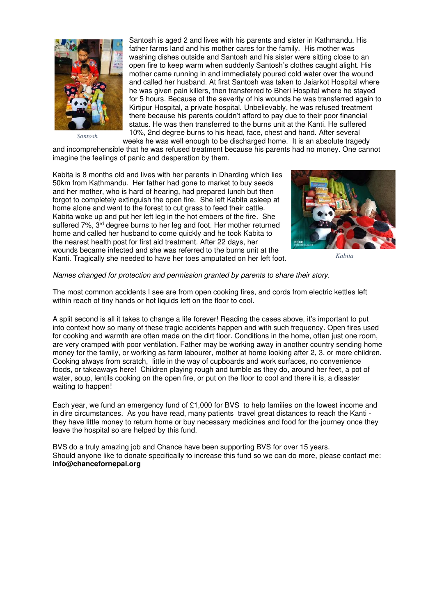

*Santosh* 

Santosh is aged 2 and lives with his parents and sister in Kathmandu. His father farms land and his mother cares for the family. His mother was washing dishes outside and Santosh and his sister were sitting close to an open fire to keep warm when suddenly Santosh's clothes caught alight. His mother came running in and immediately poured cold water over the wound and called her husband. At first Santosh was taken to Jaiarkot Hospital where he was given pain killers, then transferred to Bheri Hospital where he stayed for 5 hours. Because of the severity of his wounds he was transferred again to Kirtipur Hospital, a private hospital. Unbelievably, he was refused treatment there because his parents couldn't afford to pay due to their poor financial status. He was then transferred to the burns unit at the Kanti. He suffered 10%, 2nd degree burns to his head, face, chest and hand. After several

weeks he was well enough to be discharged home. It is an absolute tragedy and incomprehensible that he was refused treatment because his parents had no money. One cannot imagine the feelings of panic and desperation by them.

Kabita is 8 months old and lives with her parents in Dharding which lies 50km from Kathmandu. Her father had gone to market to buy seeds and her mother, who is hard of hearing, had prepared lunch but then forgot to completely extinguish the open fire. She left Kabita asleep at home alone and went to the forest to cut grass to feed their cattle. Kabita woke up and put her left leg in the hot embers of the fire. She suffered 7%, 3<sup>rd</sup> degree burns to her leg and foot. Her mother returned home and called her husband to come quickly and he took Kabita to the nearest health post for first aid treatment. After 22 days, her wounds became infected and she was referred to the burns unit at the Kanti. Tragically she needed to have her toes amputated on her left foot.



*Kabita* 

#### Names changed for protection and permission granted by parents to share their story.

The most common accidents I see are from open cooking fires, and cords from electric kettles left within reach of tiny hands or hot liquids left on the floor to cool.

A split second is all it takes to change a life forever! Reading the cases above, it's important to put into context how so many of these tragic accidents happen and with such frequency. Open fires used for cooking and warmth are often made on the dirt floor. Conditions in the home, often just one room, are very cramped with poor ventilation. Father may be working away in another country sending home money for the family, or working as farm labourer, mother at home looking after 2, 3, or more children. Cooking always from scratch, little in the way of cupboards and work surfaces, no convenience foods, or takeaways here! Children playing rough and tumble as they do, around her feet, a pot of water, soup, lentils cooking on the open fire, or put on the floor to cool and there it is, a disaster waiting to happen!

Each year, we fund an emergency fund of £1,000 for BVS to help families on the lowest income and in dire circumstances. As you have read, many patients travel great distances to reach the Kanti they have little money to return home or buy necessary medicines and food for the journey once they leave the hospital so are helped by this fund.

BVS do a truly amazing job and Chance have been supporting BVS for over 15 years. Should anyone like to donate specifically to increase this fund so we can do more, please contact me: **info@chancefornepal.org**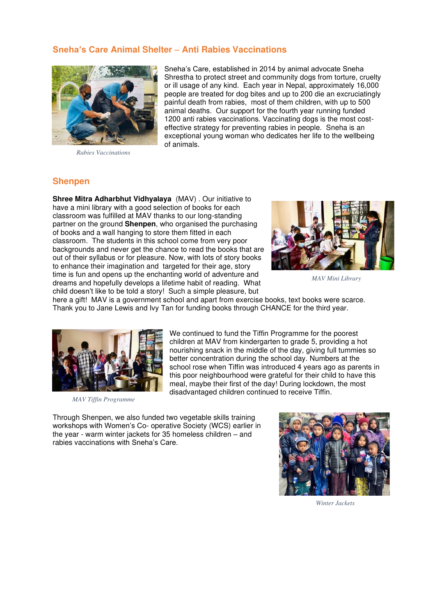# **Sneha's Care Animal Shelter** – **Anti Rabies Vaccinations**



*Rabies Vaccinations* 

Sneha's Care, established in 2014 by animal advocate Sneha Shrestha to protect street and community dogs from torture, cruelty or ill usage of any kind. Each year in Nepal, approximately 16,000 people are treated for dog bites and up to 200 die an excruciatingly painful death from rabies, most of them children, with up to 500 animal deaths. Our support for the fourth year running funded 1200 anti rabies vaccinations. Vaccinating dogs is the most costeffective strategy for preventing rabies in people. Sneha is an exceptional young woman who dedicates her life to the wellbeing of animals.

#### **Shenpen**

**Shree Mitra Adharbhut Vidhyalaya** (MAV) . Our initiative to have a mini library with a good selection of books for each classroom was fulfilled at MAV thanks to our long-standing partner on the ground **Shenpen**, who organised the purchasing of books and a wall hanging to store them fitted in each classroom. The students in this school come from very poor backgrounds and never get the chance to read the books that are out of their syllabus or for pleasure. Now, with lots of story books to enhance their imagination and targeted for their age, story time is fun and opens up the enchanting world of adventure and dreams and hopefully develops a lifetime habit of reading. What child doesn't like to be told a story! Such a simple pleasure, but



*MAV Mini Library* 

here a gift! MAV is a government school and apart from exercise books, text books were scarce. Thank you to Jane Lewis and Ivy Tan for funding books through CHANCE for the third year.



*MAV Tiffin Programme* 

We continued to fund the Tiffin Programme for the poorest children at MAV from kindergarten to grade 5, providing a hot nourishing snack in the middle of the day, giving full tummies so better concentration during the school day. Numbers at the school rose when Tiffin was introduced 4 years ago as parents in this poor neighbourhood were grateful for their child to have this meal, maybe their first of the day! During lockdown, the most disadvantaged children continued to receive Tiffin.

Through Shenpen, we also funded two vegetable skills training workshops with Women's Co- operative Society (WCS) earlier in the year - warm winter jackets for 35 homeless children – and rabies vaccinations with Sneha's Care.



*Winter Jackets*